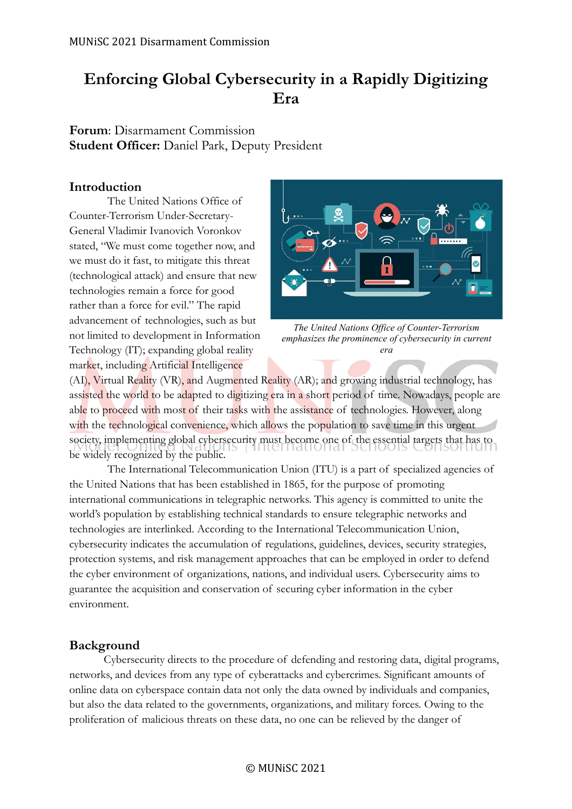# **Enforcing Global Cybersecurity in a Rapidly Digitizing Era**

**Forum**: Disarmament Commission **Student Officer:** Daniel Park, Deputy President

### **Introduction**

The United Nations Office of Counter-Terrorism Under-Secretary-General Vladimir Ivanovich Voronkov stated, "We must come together now, and we must do it fast, to mitigate this threat (technological attack) and ensure that new technologies remain a force for good rather than a force for evil." The rapid advancement of technologies, such as but not limited to development in Information Technology (IT); expanding global reality market, including Artificial Intelligence



*The United Nations Office of Counter-Terrorism emphasizes the prominence of cybersecurity in current era*

(AI), Virtual Reality (VR), and Augmented Reality (AR); and growing industrial technology, has assisted the world to be adapted to digitizing era in a short period of time. Nowadays, people are able to proceed with most of their tasks with the assistance of technologies. However, along with the technological convenience, which allows the population to save time in this urgent society, implementing global cybersecurity must become one of the essential targets that has to be widely recognized by the public.

The International Telecommunication Union (ITU) is a part of specialized agencies of the United Nations that has been established in 1865, for the purpose of promoting international communications in telegraphic networks. This agency is committed to unite the world's population by establishing technical standards to ensure telegraphic networks and technologies are interlinked. According to the International Telecommunication Union, cybersecurity indicates the accumulation of regulations, guidelines, devices, security strategies, protection systems, and risk management approaches that can be employed in order to defend the cyber environment of organizations, nations, and individual users. Cybersecurity aims to guarantee the acquisition and conservation of securing cyber information in the cyber environment.

### **Background**

Cybersecurity directs to the procedure of defending and restoring data, digital programs, networks, and devices from any type of cyberattacks and cybercrimes. Significant amounts of online data on cyberspace contain data not only the data owned by individuals and companies, but also the data related to the governments, organizations, and military forces. Owing to the proliferation of malicious threats on these data, no one can be relieved by the danger of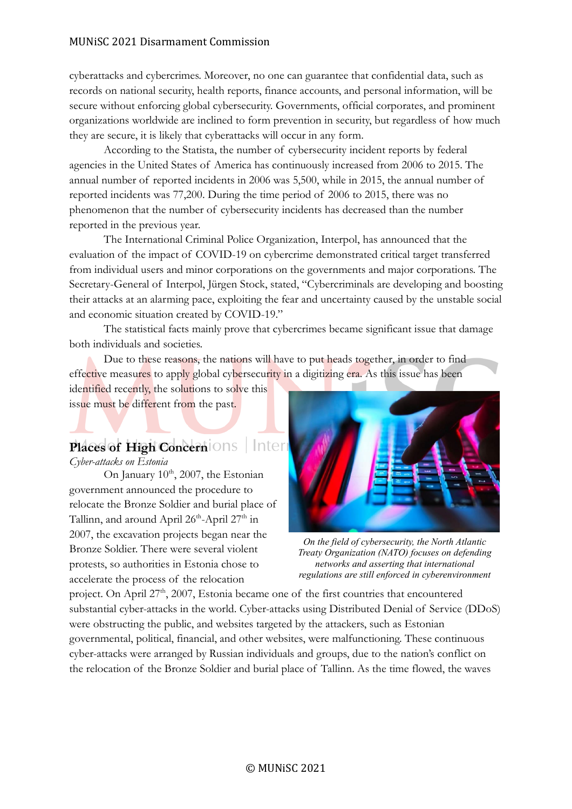#### MUNiSC 2021 Disarmament Commission

cyberattacks and cybercrimes. Moreover, no one can guarantee that confidential data, such as records on national security, health reports, finance accounts, and personal information, will be secure without enforcing global cybersecurity. Governments, official corporates, and prominent organizations worldwide are inclined to form prevention in security, but regardless of how much they are secure, it is likely that cyberattacks will occur in any form.

According to the Statista, the number of cybersecurity incident reports by federal agencies in the United States of America has continuously increased from 2006 to 2015. The annual number of reported incidents in 2006 was 5,500, while in 2015, the annual number of reported incidents was 77,200. During the time period of 2006 to 2015, there was no phenomenon that the number of cybersecurity incidents has decreased than the number reported in the previous year.

The International Criminal Police Organization, Interpol, has announced that the evaluation of the impact of COVID-19 on cybercrime demonstrated critical target transferred from individual users and minor corporations on the governments and major corporations. The Secretary-General of Interpol, Jürgen Stock, stated, "Cybercriminals are developing and boosting their attacks at an alarming pace, exploiting the fear and uncertainty caused by the unstable social and economic situation created by COVID-19."

The statistical facts mainly prove that cybercrimes became significant issue that damage both individuals and societies.

Due to these reasons, the nations will have to put heads together, in order to find effective measures to apply global cybersecurity in a digitizing era. As this issue has been

identified recently, the solutions to solve this issue must be different from the past.

#### Inter **Places of High Concern**

*Cyber-attacks on Estonia*

On January  $10^{th}$ , 2007, the Estonian government announced the procedure to relocate the Bronze Soldier and burial place of Tallinn, and around April 26<sup>th</sup>-April 27<sup>th</sup> in 2007, the excavation projects began near the Bronze Soldier. There were several violent protests, so authorities in Estonia chose to accelerate the process of the relocation



*On the field of cybersecurity, the North Atlantic Treaty Organization (NATO) focuses on defending networks and asserting that international regulations are still enforced in cyberenvironment*

project. On April  $27<sup>th</sup>$ ,  $2007$ , Estonia became one of the first countries that encountered substantial cyber-attacks in the world. Cyber-attacks using Distributed Denial of Service (DDoS) were obstructing the public, and websites targeted by the attackers, such as Estonian governmental, political, financial, and other websites, were malfunctioning. These continuous cyber-attacks were arranged by Russian individuals and groups, due to the nation's conflict on the relocation of the Bronze Soldier and burial place of Tallinn. As the time flowed, the waves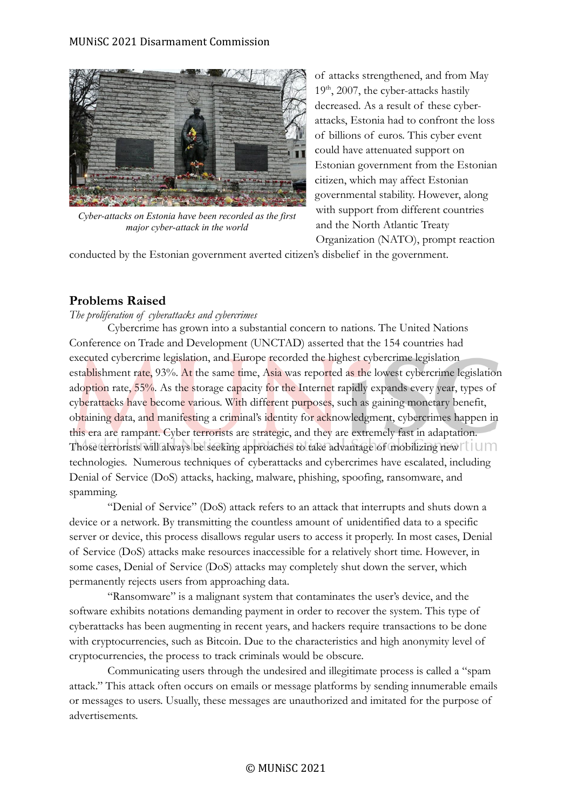

*Cyber-attacks on Estonia have been recorded as the first major cyber-attack in the world*

of attacks strengthened, and from May  $19<sup>th</sup>$ , 2007, the cyber-attacks hastily decreased. As a result of these cyberattacks, Estonia had to confront the loss of billions of euros. This cyber event could have attenuated support on Estonian government from the Estonian citizen, which may affect Estonian governmental stability. However, along with support from different countries and the North Atlantic Treaty

Organization (NATO), prompt reaction

conducted by the Estonian government averted citizen's disbelief in the government.

## **Problems Raised**

### *The proliferation of cyberattacks and cybercrimes*

Cybercrime has grown into a substantial concern to nations. The United Nations Conference on Trade and Development (UNCTAD) asserted that the 154 countries had executed cybercrime legislation, and Europe recorded the highest cybercrime legislation establishment rate, 93%. At the same time, Asia was reported as the lowest cybercrime legislation adoption rate, 55%. As the storage capacity for the Internet rapidly expands every year, types of cyberattacks have become various. With different purposes, such as gaining monetary benefit, obtaining data, and manifesting a criminal's identity for acknowledgment, cybercrimes happen in this era are rampant. Cyber terrorists are strategic, and they are extremely fast in adaptation. Those terrorists will always be seeking approaches to take advantage of mobilizing new ILLIM technologies. Numerous techniques of cyberattacks and cybercrimes have escalated, including Denial of Service (DoS) attacks, hacking, malware, phishing, spoofing, ransomware, and spamming.

"Denial of Service" (DoS) attack refers to an attack that interrupts and shuts down a device or a network. By transmitting the countless amount of unidentified data to a specific server or device, this process disallows regular users to access it properly. In most cases, Denial of Service (DoS) attacks make resources inaccessible for a relatively short time. However, in some cases, Denial of Service (DoS) attacks may completely shut down the server, which permanently rejects users from approaching data.

"Ransomware" is a malignant system that contaminates the user's device, and the software exhibits notations demanding payment in order to recover the system. This type of cyberattacks has been augmenting in recent years, and hackers require transactions to be done with cryptocurrencies, such as Bitcoin. Due to the characteristics and high anonymity level of cryptocurrencies, the process to track criminals would be obscure.

Communicating users through the undesired and illegitimate process is called a "spam attack." This attack often occurs on emails or message platforms by sending innumerable emails or messages to users. Usually, these messages are unauthorized and imitated for the purpose of advertisements.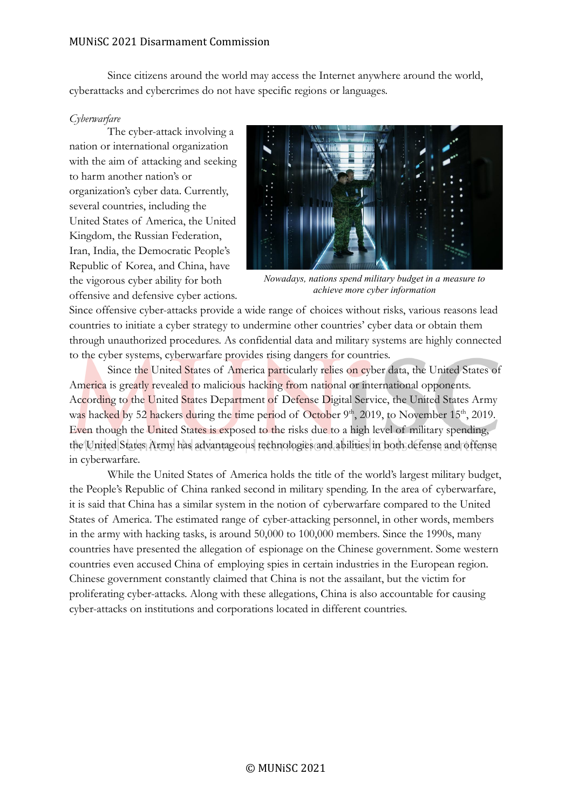#### MUNiSC 2021 Disarmament Commission

Since citizens around the world may access the Internet anywhere around the world, cyberattacks and cybercrimes do not have specific regions or languages.

#### *Cyberwarfare*

The cyber-attack involving a nation or international organization with the aim of attacking and seeking to harm another nation's or organization's cyber data. Currently, several countries, including the United States of America, the United Kingdom, the Russian Federation, Iran, India, the Democratic People's Republic of Korea, and China, have the vigorous cyber ability for both offensive and defensive cyber actions.



*Nowadays, nations spend military budget in a measure to achieve more cyber information*

Since offensive cyber-attacks provide a wide range of choices without risks, various reasons lead countries to initiate a cyber strategy to undermine other countries' cyber data or obtain them through unauthorized procedures. As confidential data and military systems are highly connected to the cyber systems, cyberwarfare provides rising dangers for countries.

Since the United States of America particularly relies on cyber data, the United States of America is greatly revealed to malicious hacking from national or international opponents. According to the United States Department of Defense Digital Service, the United States Army was hacked by 52 hackers during the time period of October  $9<sup>th</sup>$ , 2019, to November 15<sup>th</sup>, 2019. Even though the United States is exposed to the risks due to a high level of military spending, the United States Army has advantageous technologies and abilities in both defense and offense in cyberwarfare.

While the United States of America holds the title of the world's largest military budget, the People's Republic of China ranked second in military spending. In the area of cyberwarfare, it is said that China has a similar system in the notion of cyberwarfare compared to the United States of America. The estimated range of cyber-attacking personnel, in other words, members in the army with hacking tasks, is around 50,000 to 100,000 members. Since the 1990s, many countries have presented the allegation of espionage on the Chinese government. Some western countries even accused China of employing spies in certain industries in the European region. Chinese government constantly claimed that China is not the assailant, but the victim for proliferating cyber-attacks. Along with these allegations, China is also accountable for causing cyber-attacks on institutions and corporations located in different countries.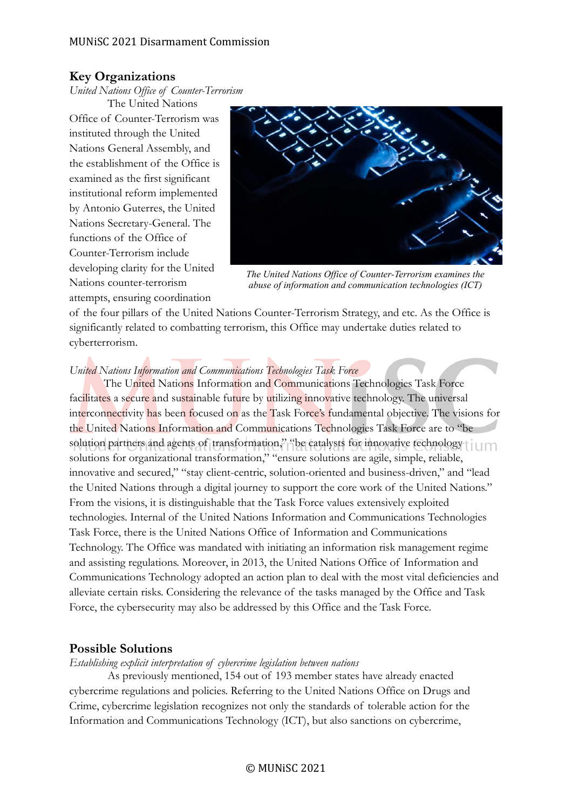## **Key Organizations**

*United Nations Office of Counter-Terrorism*

The United Nations Office of Counter-Terrorism was instituted through the United Nations General Assembly, and the establishment of the Office is examined as the first significant institutional reform implemented by Antonio Guterres, the United Nations Secretary-General. The functions of the Office of Counter-Terrorism include developing clarity for the United Nations counter-terrorism attempts, ensuring coordination



*The United Nations Office of Counter-Terrorism examines the abuse of information and communication technologies (ICT)*

of the four pillars of the United Nations Counter-Terrorism Strategy, and etc. As the Office is significantly related to combatting terrorism, this Office may undertake duties related to cyberterrorism.

### *United Nations Information and Communications Technologies Task Force*

The United Nations Information and Communications Technologies Task Force facilitates a secure and sustainable future by utilizing innovative technology. The universal interconnectivity has been focused on as the Task Force's fundamental objective. The visions for the United Nations Information and Communications Technologies Task Force are to "be solution partners and agents of transformation," "be catalysts for innovative technology i solutions for organizational transformation," "ensure solutions are agile, simple, reliable, innovative and secured," "stay client-centric, solution-oriented and business-driven," and "lead the United Nations through a digital journey to support the core work of the United Nations." From the visions, it is distinguishable that the Task Force values extensively exploited technologies. Internal of the United Nations Information and Communications Technologies Task Force, there is the United Nations Office of Information and Communications Technology. The Office was mandated with initiating an information risk management regime and assisting regulations. Moreover, in 2013, the United Nations Office of Information and Communications Technology adopted an action plan to deal with the most vital deficiencies and alleviate certain risks. Considering the relevance of the tasks managed by the Office and Task Force, the cybersecurity may also be addressed by this Office and the Task Force.

### **Possible Solutions**

*Establishing explicit interpretation of cybercrime legislation between nations*

As previously mentioned, 154 out of 193 member states have already enacted cybercrime regulations and policies. Referring to the United Nations Office on Drugs and Crime, cybercrime legislation recognizes not only the standards of tolerable action for the Information and Communications Technology (ICT), but also sanctions on cybercrime,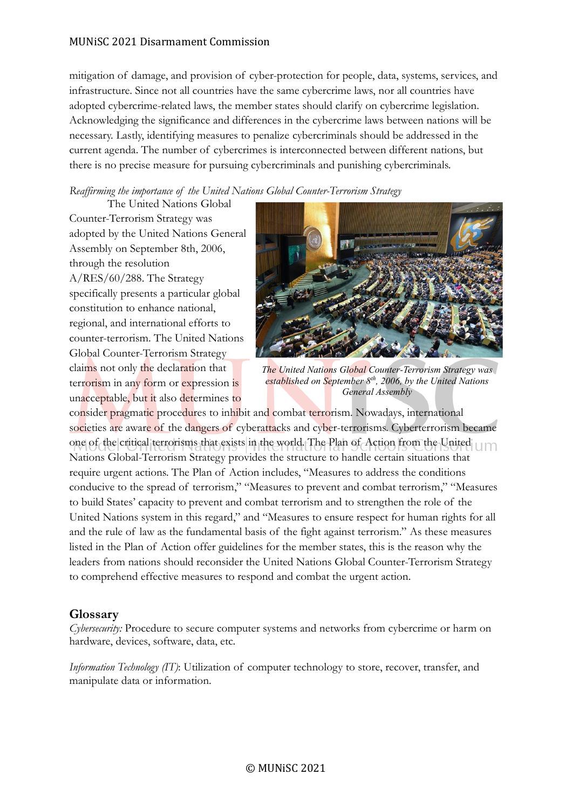### MUNiSC 2021 Disarmament Commission

mitigation of damage, and provision of cyber-protection for people, data, systems, services, and infrastructure. Since not all countries have the same cybercrime laws, nor all countries have adopted cybercrime-related laws, the member states should clarify on cybercrime legislation. Acknowledging the significance and differences in the cybercrime laws between nations will be necessary. Lastly, identifying measures to penalize cybercriminals should be addressed in the current agenda. The number of cybercrimes is interconnected between different nations, but there is no precise measure for pursuing cybercriminals and punishing cybercriminals.

*Reaffirming the importance of the United Nations Global Counter-Terrorism Strategy*

The United Nations Global Counter-Terrorism Strategy was adopted by the United Nations General Assembly on September 8th, 2006, through the resolution A/RES/60/288. The Strategy specifically presents a particular global constitution to enhance national, regional, and international efforts to counter-terrorism. The United Nations Global Counter-Terrorism Strategy claims not only the declaration that terrorism in any form or expression is unacceptable, but it also determines to



*The United Nations Global Counter-Terrorism Strategy was established on September 8th, 2006, by the United Nations General Assembly*

consider pragmatic procedures to inhibit and combat terrorism. Nowadays, international societies are aware of the dangers of cyberattacks and cyber-terrorisms. Cyberterrorism became one of the critical terrorisms that exists in the world. The Plan of Action from the United Um Nations Global-Terrorism Strategy provides the structure to handle certain situations that require urgent actions. The Plan of Action includes, "Measures to address the conditions conducive to the spread of terrorism," "Measures to prevent and combat terrorism," "Measures to build States' capacity to prevent and combat terrorism and to strengthen the role of the United Nations system in this regard," and "Measures to ensure respect for human rights for all and the rule of law as the fundamental basis of the fight against terrorism." As these measures listed in the Plan of Action offer guidelines for the member states, this is the reason why the leaders from nations should reconsider the United Nations Global Counter-Terrorism Strategy to comprehend effective measures to respond and combat the urgent action.

### **Glossary**

*Cybersecurity:* Procedure to secure computer systems and networks from cybercrime or harm on hardware, devices, software, data, etc.

*Information Technology (IT)*: Utilization of computer technology to store, recover, transfer, and manipulate data or information.